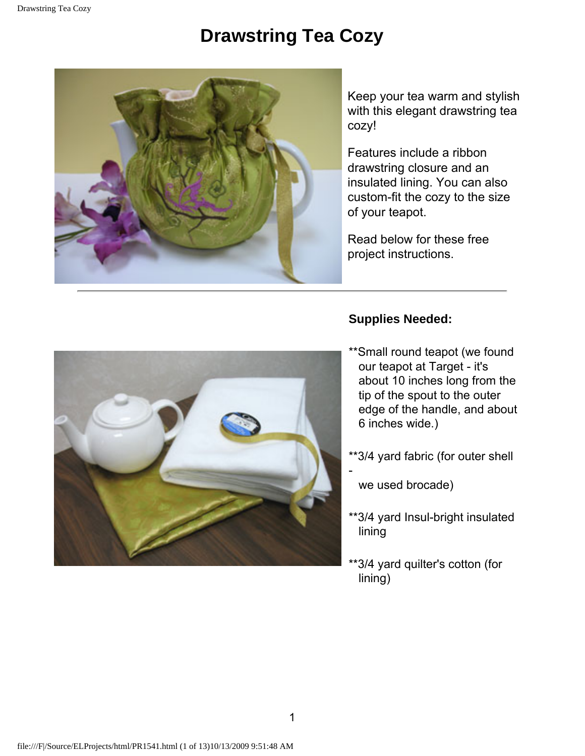## **Drawstring Tea Cozy**



Keep your tea warm and stylish with this elegant drawstring tea cozy!

Features include a ribbon drawstring closure and an insulated lining. You can also custom-fit the cozy to the size of your teapot.

Read below for these free project instructions.

## **Supplies Needed:**



- \*\*Small round teapot (we found our teapot at Target - it's about 10 inches long from the tip of the spout to the outer edge of the handle, and about 6 inches wide.)
- \*\*3/4 yard fabric (for outer shell
- we used brocade)
- \*\*3/4 yard Insul-bright insulated lining
- \*\*3/4 yard quilter's cotton (for lining)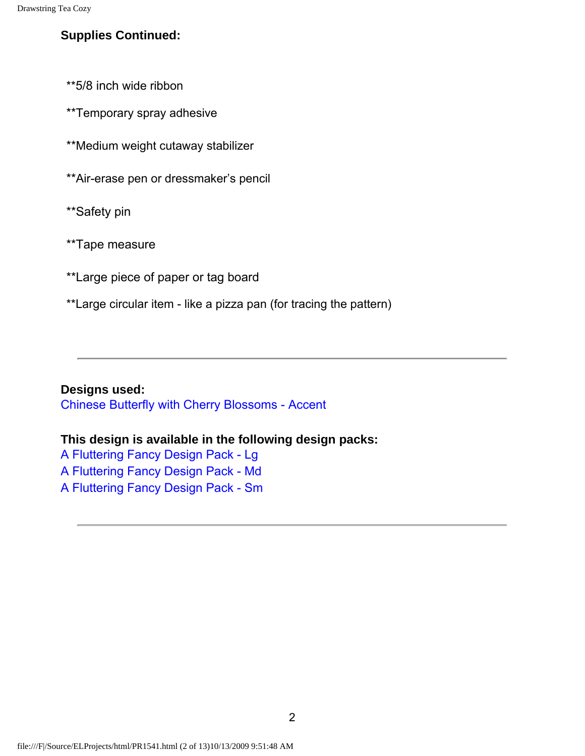## **Supplies Continued:**

\*\*5/8 inch wide ribbon

\*\*Temporary spray adhesive

\*\*Medium weight cutaway stabilizer

\*\*Air-erase pen or dressmaker's pencil

\*\*Safety pin

\*\*Tape measure

\*\*Large piece of paper or tag board

\*\*Large circular item - like a pizza pan (for tracing the pattern)

**Designs used:** 

[Chinese Butterfly with Cherry Blossoms - Accent](http://www.emblibrary.com/EL/SimpleProduct.aspx?CS_Catalog=Emblibrary&CS_ProductID=D8339)

## **This design is available in the following design packs:**

[A Fluttering Fancy Design Pack - Lg](http://www.emblibrary.com/EL/SimpleProduct.aspx?CS_Catalog=Emblibrary&CS_ProductID=X6932) [A Fluttering Fancy Design Pack - Md](http://www.emblibrary.com/EL/SimpleProduct.aspx?CS_Catalog=Emblibrary&CS_ProductID=X6933)

[A Fluttering Fancy Design Pack - Sm](http://www.emblibrary.com/EL/SimpleProduct.aspx?CS_Catalog=Emblibrary&CS_ProductID=X6934)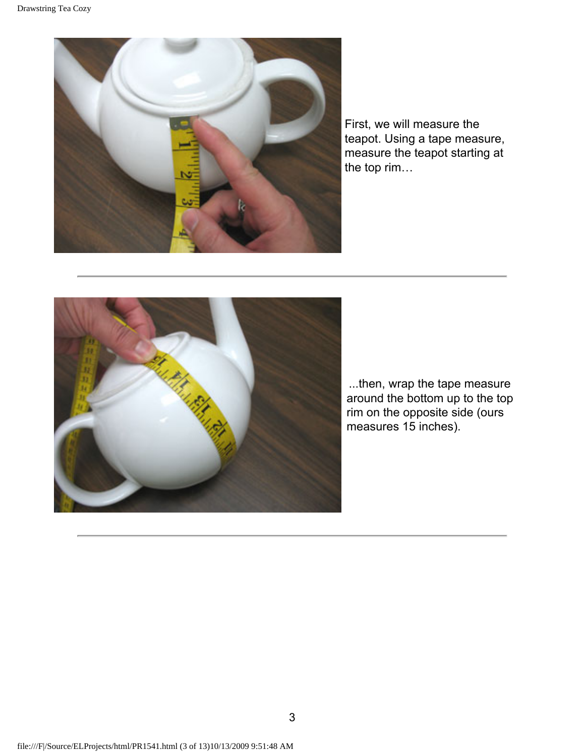

First, we will measure the teapot. Using a tape measure, measure the teapot starting at the top rim…



...then, wrap the tape measure around the bottom up to the top rim on the opposite side (ours measures 15 inches).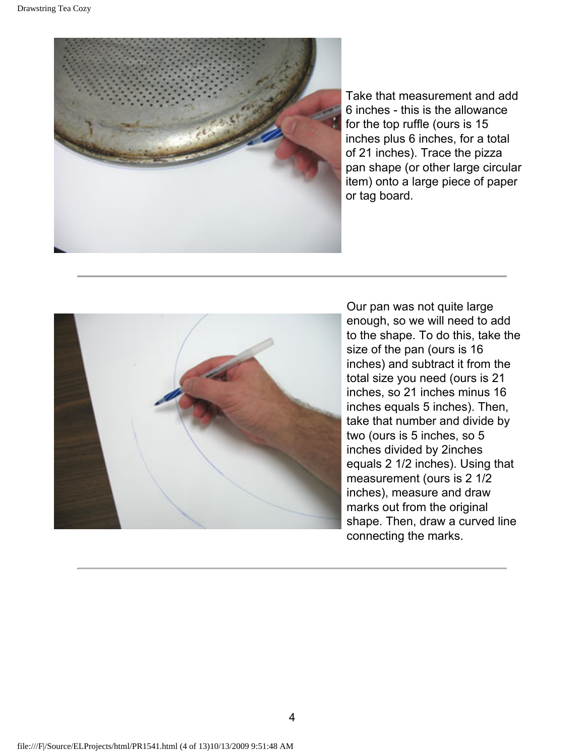

Take that measurement and add 6 inches - this is the allowance for the top ruffle (ours is 15 inches plus 6 inches, for a total of 21 inches). Trace the pizza pan shape (or other large circular item) onto a large piece of paper or tag board.



Our pan was not quite large enough, so we will need to add to the shape. To do this, take the size of the pan (ours is 16 inches) and subtract it from the total size you need (ours is 21 inches, so 21 inches minus 16 inches equals 5 inches). Then, take that number and divide by two (ours is 5 inches, so 5 inches divided by 2inches equals 2 1/2 inches). Using that measurement (ours is 2 1/2 inches), measure and draw marks out from the original shape. Then, draw a curved line connecting the marks.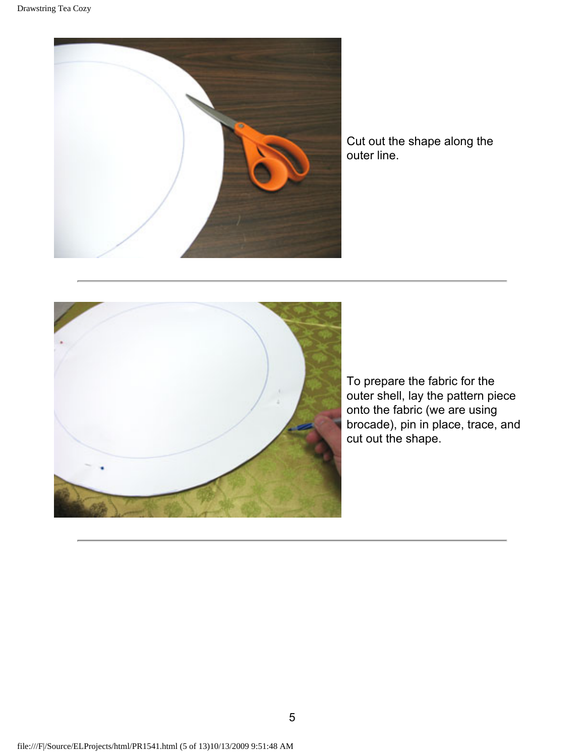

Cut out the shape along the outer line.



To prepare the fabric for the outer shell, lay the pattern piece onto the fabric (we are using brocade), pin in place, trace, and cut out the shape.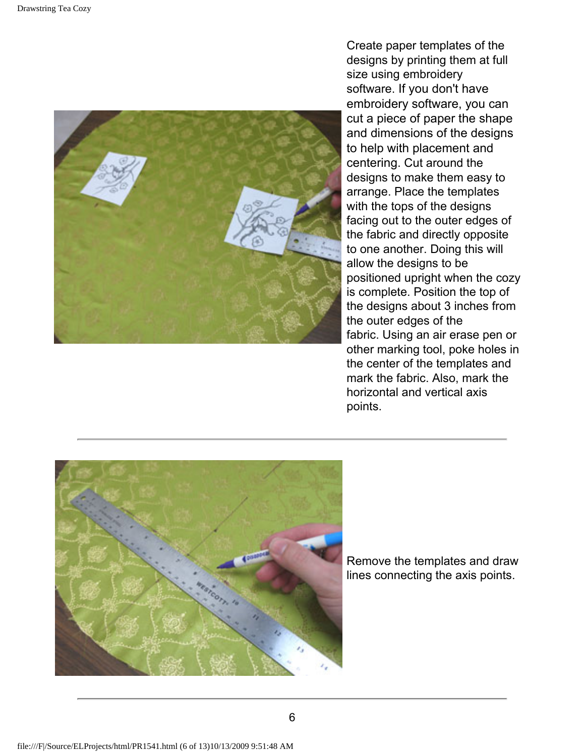

Create paper templates of the designs by printing them at full size using embroidery software. If you don't have embroidery software, you can cut a piece of paper the shape and dimensions of the designs to help with placement and centering. Cut around the designs to make them easy to arrange. Place the templates with the tops of the designs facing out to the outer edges of the fabric and directly opposite to one another. Doing this will allow the designs to be positioned upright when the cozy is complete. Position the top of the designs about 3 inches from the outer edges of the fabric. Using an air erase pen or other marking tool, poke holes in the center of the templates and mark the fabric. Also, mark the horizontal and vertical axis points.



Remove the templates and draw lines connecting the axis points.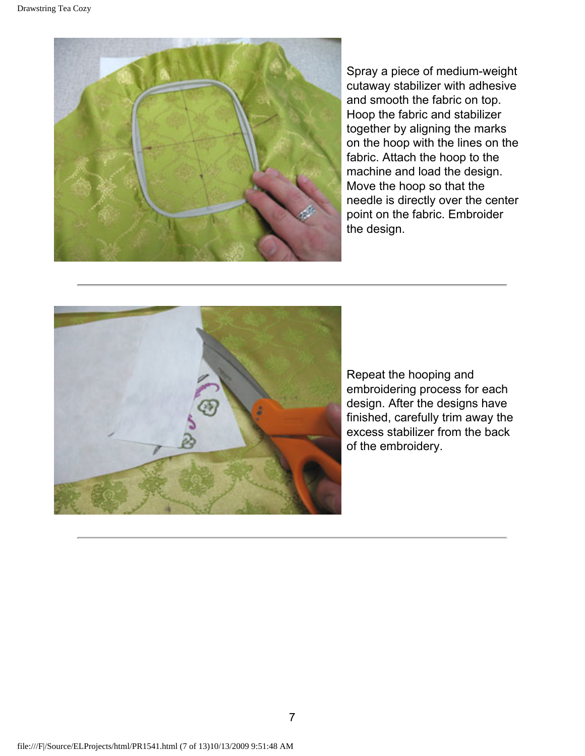

Spray a piece of medium-weight cutaway stabilizer with adhesive and smooth the fabric on top. Hoop the fabric and stabilizer together by aligning the marks on the hoop with the lines on the fabric. Attach the hoop to the machine and load the design. Move the hoop so that the needle is directly over the center point on the fabric. Embroider the design.



Repeat the hooping and embroidering process for each design. After the designs have finished, carefully trim away the excess stabilizer from the back of the embroidery.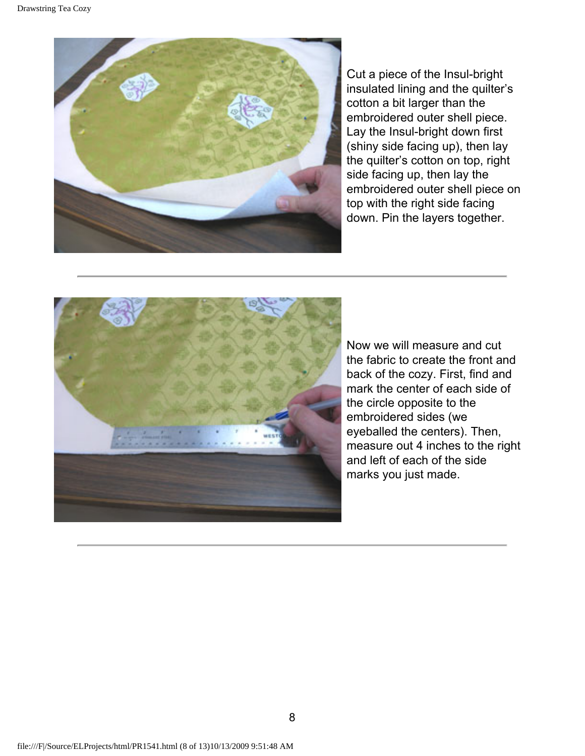

Cut a piece of the Insul-bright insulated lining and the quilter's cotton a bit larger than the embroidered outer shell piece. Lay the Insul-bright down first (shiny side facing up), then lay the quilter's cotton on top, right side facing up, then lay the embroidered outer shell piece on top with the right side facing down. Pin the layers together.



Now we will measure and cut the fabric to create the front and back of the cozy. First, find and mark the center of each side of the circle opposite to the embroidered sides (we eyeballed the centers). Then, measure out 4 inches to the right and left of each of the side marks you just made.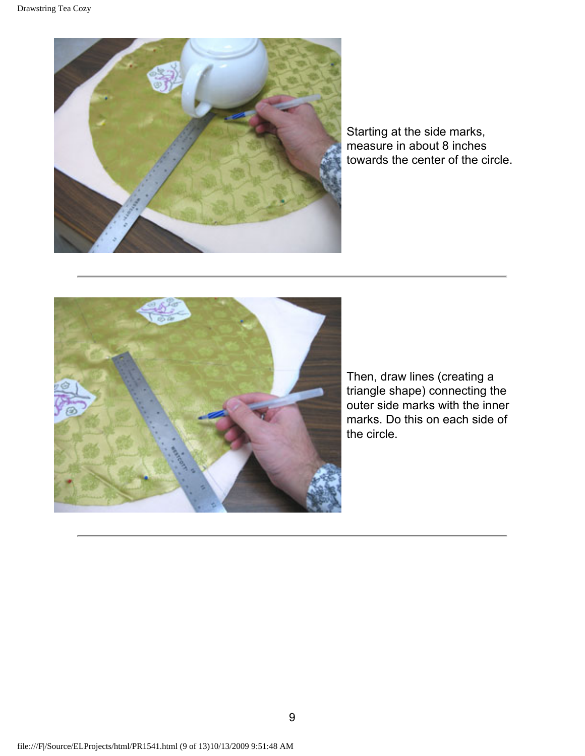

Starting at the side marks, measure in about 8 inches towards the center of the circle.



Then, draw lines (creating a triangle shape) connecting the outer side marks with the inner marks. Do this on each side of the circle.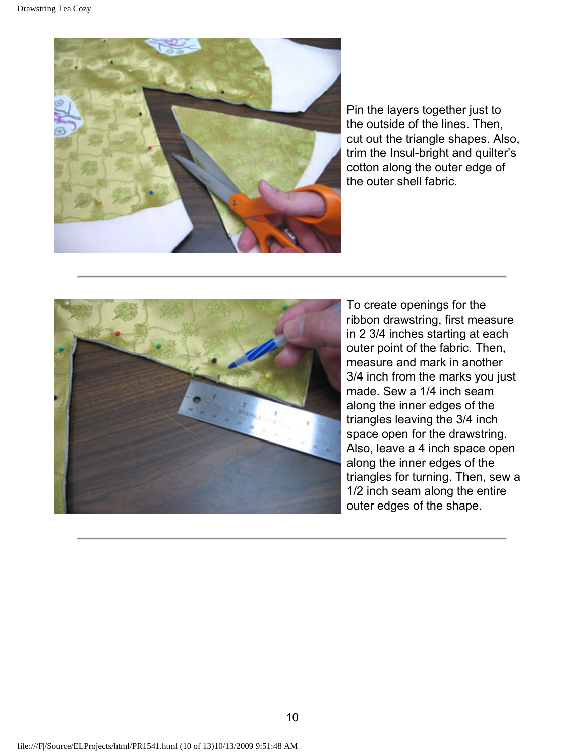

Pin the layers together just to the outside of the lines. Then, cut out the triangle shapes. Also, trim the Insul-bright and quilter's cotton along the outer edge of the outer shell fabric.



To create openings for the ribbon drawstring, first measure in 2 3/4 inches starting at each outer point of the fabric. Then, measure and mark in another 3/4 inch from the marks you just made. Sew a 1/4 inch seam along the inner edges of the triangles leaving the 3/4 inch space open for the drawstring. Also, leave a 4 inch space open along the inner edges of the triangles for turning. Then, sew a 1/2 inch seam along the entire outer edges of the shape.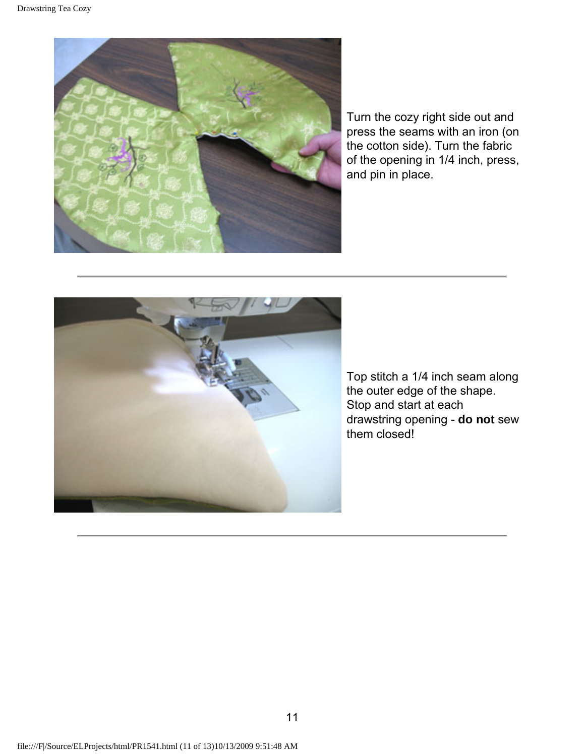

Turn the cozy right side out and press the seams with an iron (on the cotton side). Turn the fabric of the opening in 1/4 inch, press, and pin in place.



Top stitch a 1/4 inch seam along the outer edge of the shape. Stop and start at each drawstring opening - **do not** sew them closed!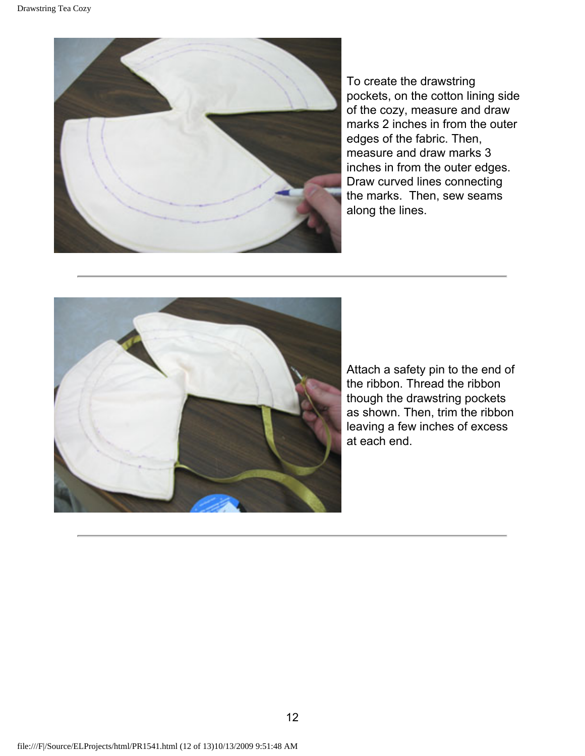

To create the drawstring pockets, on the cotton lining side of the cozy, measure and draw marks 2 inches in from the outer edges of the fabric. Then, measure and draw marks 3 inches in from the outer edges. Draw curved lines connecting the marks. Then, sew seams along the lines.



Attach a safety pin to the end of the ribbon. Thread the ribbon though the drawstring pockets as shown. Then, trim the ribbon leaving a few inches of excess at each end.